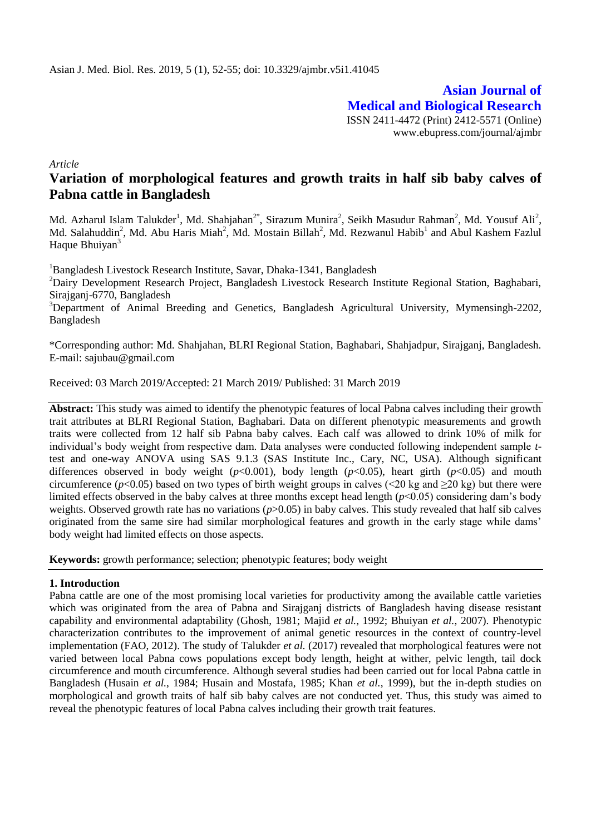**Asian Journal of Medical and Biological Research** ISSN 2411-4472 (Print) 2412-5571 (Online) www.ebupress.com/journal/ajmbr

*Article*

# **Variation of morphological features and growth traits in half sib baby calves of Pabna cattle in Bangladesh**

Md. Azharul Islam Talukder<sup>1</sup>, Md. Shahjahan<sup>2\*</sup>, Sirazum Munira<sup>2</sup>, Seikh Masudur Rahman<sup>2</sup>, Md. Yousuf Ali<sup>2</sup>, Md. Salahuddin<sup>2</sup>, Md. Abu Haris Miah<sup>2</sup>, Md. Mostain Billah<sup>2</sup>, Md. Rezwanul Habib<sup>1</sup> and Abul Kashem Fazlul Haque Bhuiyan<sup>3</sup>

<sup>1</sup>Bangladesh Livestock Research Institute, Savar, Dhaka-1341, Bangladesh

<sup>2</sup>Dairy Development Research Project, Bangladesh Livestock Research Institute Regional Station, Baghabari, Sirajganj-6770, Bangladesh

<sup>3</sup>Department of Animal Breeding and Genetics, Bangladesh Agricultural University, Mymensingh-2202, Bangladesh

\*Corresponding author: Md. Shahjahan, BLRI Regional Station, Baghabari, Shahjadpur, Sirajganj, Bangladesh. E-mail: [sajubau@gmail.com](mailto:sajubau@gmail.com)

Received: 03 March 2019/Accepted: 21 March 2019/ Published: 31 March 2019

**Abstract:** This study was aimed to identify the phenotypic features of local Pabna calves including their growth trait attributes at BLRI Regional Station, Baghabari. Data on different phenotypic measurements and growth traits were collected from 12 half sib Pabna baby calves. Each calf was allowed to drink 10% of milk for individual's body weight from respective dam. Data analyses were conducted following independent sample *t*test and one-way ANOVA using SAS 9.1.3 (SAS Institute Inc., Cary, NC, USA). Although significant differences observed in body weight (*p*<0.001), body length (*p*<0.05), heart girth (*p*<0.05) and mouth circumference ( $p$ <0.05) based on two types of birth weight groups in calves (<20 kg and  $\geq$ 20 kg) but there were limited effects observed in the baby calves at three months except head length (*p*<0.05) considering dam's body weights. Observed growth rate has no variations ( $p > 0.05$ ) in baby calves. This study revealed that half sib calves originated from the same sire had similar morphological features and growth in the early stage while dams' body weight had limited effects on those aspects.

**Keywords:** growth performance; selection; phenotypic features; body weight

# **1. Introduction**

Pabna cattle are one of the most promising local varieties for productivity among the available cattle varieties which was originated from the area of Pabna and Sirajganj districts of Bangladesh having disease resistant capability and environmental adaptability (Ghosh, 1981; Majid *et al.*, 1992; Bhuiyan *et al.*, 2007). Phenotypic characterization contributes to the improvement of animal genetic resources in the context of country-level implementation (FAO, 2012). The study of Talukder *et al.* (2017) revealed that morphological features were not varied between local Pabna cows populations except body length, height at wither, pelvic length, tail dock circumference and mouth circumference. Although several studies had been carried out for local Pabna cattle in Bangladesh (Husain *et al.*, 1984; Husain and Mostafa, 1985; Khan *et al.*, 1999), but the in-depth studies on morphological and growth traits of half sib baby calves are not conducted yet. Thus, this study was aimed to reveal the phenotypic features of local Pabna calves including their growth trait features.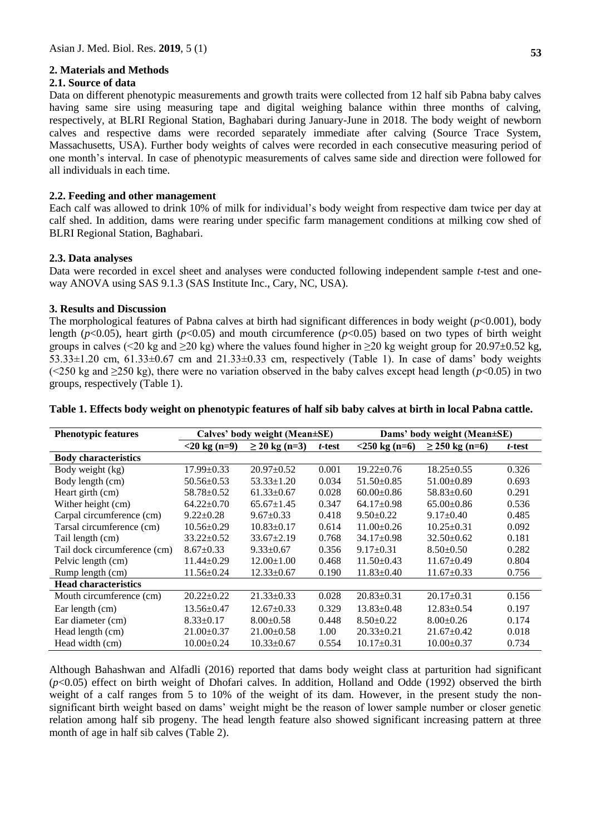# **2. Materials and Methods**

# **2.1. Source of data**

Data on different phenotypic measurements and growth traits were collected from 12 half sib Pabna baby calves having same sire using measuring tape and digital weighing balance within three months of calving, respectively, at BLRI Regional Station, Baghabari during January-June in 2018. The body weight of newborn calves and respective dams were recorded separately immediate after calving (Source Trace System, Massachusetts, USA). Further body weights of calves were recorded in each consecutive measuring period of one month's interval. In case of phenotypic measurements of calves same side and direction were followed for all individuals in each time.

# **2.2. Feeding and other management**

Each calf was allowed to drink 10% of milk for individual's body weight from respective dam twice per day at calf shed. In addition, dams were rearing under specific farm management conditions at milking cow shed of BLRI Regional Station, Baghabari.

# **2.3. Data analyses**

Data were recorded in excel sheet and analyses were conducted following independent sample *t*-test and oneway ANOVA using SAS 9.1.3 (SAS Institute Inc., Cary, NC, USA).

## **3. Results and Discussion**

The morphological features of Pabna calves at birth had significant differences in body weight  $(p<0.001)$ , body length (*p*<0.05), heart girth (*p*<0.05) and mouth circumference (*p*<0.05) based on two types of birth weight groups in calves (<20 kg and  $\geq$ 20 kg) where the values found higher in  $\geq$ 20 kg weight group for 20.97±0.52 kg,  $53.33\pm1.20$  cm,  $61.33\pm0.67$  cm and  $21.33\pm0.33$  cm, respectively (Table 1). In case of dams' body weights ( $\leq$ 250 kg and  $\geq$ 250 kg), there were no variation observed in the baby calves except head length ( $p$ <0.05) in two groups, respectively (Table 1).

| <b>Phenotypic features</b>   | Calves' body weight (Mean±SE) |                    | Dams' body weight (Mean±SE) |                  |                     |        |
|------------------------------|-------------------------------|--------------------|-----------------------------|------------------|---------------------|--------|
|                              | $<$ 20 kg (n=9)               | $\geq$ 20 kg (n=3) | t-test                      | $<$ 250 kg (n=6) | $\geq$ 250 kg (n=6) | t-test |
| <b>Body characteristics</b>  |                               |                    |                             |                  |                     |        |
| Body weight (kg)             | $17.99 \pm 0.33$              | $20.97 \pm 0.52$   | 0.001                       | $19.22 \pm 0.76$ | $18.25 \pm 0.55$    | 0.326  |
| Body length (cm)             | $50.56 \pm 0.53$              | $53.33 \pm 1.20$   | 0.034                       | $51.50 \pm 0.85$ | $51.00 \pm 0.89$    | 0.693  |
| Heart girth (cm)             | 58.78±0.52                    | $61.33 \pm 0.67$   | 0.028                       | $60.00 \pm 0.86$ | $58.83 \pm 0.60$    | 0.291  |
| Wither height (cm)           | $64.22 \pm 0.70$              | $65.67 \pm 1.45$   | 0.347                       | $64.17+0.98$     | $65.00 \pm 0.86$    | 0.536  |
| Carpal circumference (cm)    | $9.22 \pm 0.28$               | $9.67 \pm 0.33$    | 0.418                       | $9.50 \pm 0.22$  | $9.17 \pm 0.40$     | 0.485  |
| Tarsal circumference (cm)    | $10.56 \pm 0.29$              | $10.83 \pm 0.17$   | 0.614                       | $11.00 \pm 0.26$ | $10.25 \pm 0.31$    | 0.092  |
| Tail length (cm)             | $33.22 \pm 0.52$              | $33.67 \pm 2.19$   | 0.768                       | $34.17 \pm 0.98$ | $32.50+0.62$        | 0.181  |
| Tail dock circumference (cm) | $8.67 \pm 0.33$               | $9.33 \pm 0.67$    | 0.356                       | $9.17 \pm 0.31$  | $8.50 \pm 0.50$     | 0.282  |
| Pelvic length (cm)           | $11.44 \pm 0.29$              | $12.00 \pm 1.00$   | 0.468                       | $11.50 \pm 0.43$ | $11.67 \pm 0.49$    | 0.804  |
| Rump length (cm)             | $11.56 \pm 0.24$              | $12.33 \pm 0.67$   | 0.190                       | $11.83 \pm 0.40$ | $11.67 \pm 0.33$    | 0.756  |
| <b>Head characteristics</b>  |                               |                    |                             |                  |                     |        |
| Mouth circumference (cm)     | $20.22 \pm 0.22$              | $21.33 \pm 0.33$   | 0.028                       | $20.83 \pm 0.31$ | $20.17 \pm 0.31$    | 0.156  |
| Ear length (cm)              | $13.56 \pm 0.47$              | $12.67 \pm 0.33$   | 0.329                       | $13.83 \pm 0.48$ | $12.83 \pm 0.54$    | 0.197  |
| Ear diameter (cm)            | $8.33 \pm 0.17$               | $8.00 \pm 0.58$    | 0.448                       | $8.50 \pm 0.22$  | $8.00 \pm 0.26$     | 0.174  |
| Head length (cm)             | $21.00 \pm 0.37$              | $21.00 \pm 0.58$   | 1.00                        | $20.33 \pm 0.21$ | $21.67 \pm 0.42$    | 0.018  |
| Head width (cm)              | $10.00 \pm 0.24$              | $10.33 \pm 0.67$   | 0.554                       | $10.17 \pm 0.31$ | $10.00 \pm 0.37$    | 0.734  |

#### **Table 1. Effects body weight on phenotypic features of half sib baby calves at birth in local Pabna cattle.**

Although Bahashwan and Alfadli (2016) reported that dams body weight class at parturition had significant (*p*<0.05) effect on birth weight of Dhofari calves. In addition, Holland and Odde (1992) observed the birth weight of a calf ranges from 5 to 10% of the weight of its dam. However, in the present study the nonsignificant birth weight based on dams' weight might be the reason of lower sample number or closer genetic relation among half sib progeny. The head length feature also showed significant increasing pattern at three month of age in half sib calves (Table 2).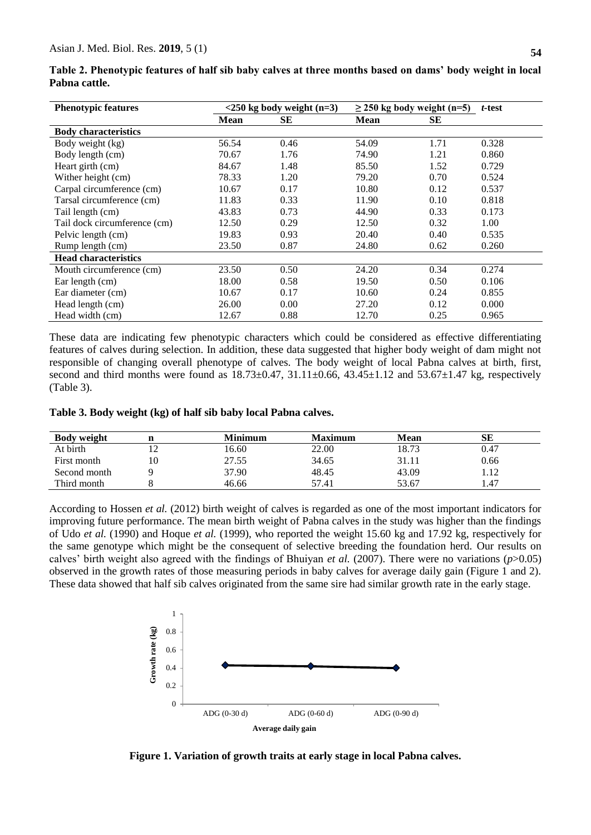| <b>Phenotypic features</b>   | $<$ 250 kg body weight (n=3) |      | $\geq$ 250 kg body weight (n=5) |           | t-test |
|------------------------------|------------------------------|------|---------------------------------|-----------|--------|
|                              | <b>Mean</b>                  | SЕ   | <b>Mean</b>                     | <b>SE</b> |        |
| <b>Body characteristics</b>  |                              |      |                                 |           |        |
| Body weight (kg)             | 56.54                        | 0.46 | 54.09                           | 1.71      | 0.328  |
| Body length (cm)             | 70.67                        | 1.76 | 74.90                           | 1.21      | 0.860  |
| Heart girth (cm)             | 84.67                        | 1.48 | 85.50                           | 1.52      | 0.729  |
| Wither height (cm)           | 78.33                        | 1.20 | 79.20                           | 0.70      | 0.524  |
| Carpal circumference (cm)    | 10.67                        | 0.17 | 10.80                           | 0.12      | 0.537  |
| Tarsal circumference (cm)    | 11.83                        | 0.33 | 11.90                           | 0.10      | 0.818  |
| Tail length (cm)             | 43.83                        | 0.73 | 44.90                           | 0.33      | 0.173  |
| Tail dock circumference (cm) | 12.50                        | 0.29 | 12.50                           | 0.32      | 1.00   |
| Pelvic length (cm)           | 19.83                        | 0.93 | 20.40                           | 0.40      | 0.535  |
| Rump length (cm)             | 23.50                        | 0.87 | 24.80                           | 0.62      | 0.260  |
| <b>Head characteristics</b>  |                              |      |                                 |           |        |
| Mouth circumference (cm)     | 23.50                        | 0.50 | 24.20                           | 0.34      | 0.274  |
| Ear length (cm)              | 18.00                        | 0.58 | 19.50                           | 0.50      | 0.106  |
| Ear diameter (cm)            | 10.67                        | 0.17 | 10.60                           | 0.24      | 0.855  |
| Head length (cm)             | 26.00                        | 0.00 | 27.20                           | 0.12      | 0.000  |
| Head width (cm)              | 12.67                        | 0.88 | 12.70                           | 0.25      | 0.965  |

**Table 2. Phenotypic features of half sib baby calves at three months based on dams' body weight in local Pabna cattle.**

These data are indicating few phenotypic characters which could be considered as effective differentiating features of calves during selection. In addition, these data suggested that higher body weight of dam might not responsible of changing overall phenotype of calves. The body weight of local Pabna calves at birth, first, second and third months were found as  $18.73 \pm 0.47$ ,  $31.11 \pm 0.66$ ,  $43.45 \pm 1.12$  and  $53.67 \pm 1.47$  kg, respectively (Table 3).

| <b>Body weight</b> |    | <b>Minimum</b> | <b>Maximum</b> | <b>Mean</b> | SЕ   |
|--------------------|----|----------------|----------------|-------------|------|
| At birth           |    | 16.60          | 22.00          | 18.73       | 0.47 |
| First month        | 10 | 27.55          | 34.65          | 31.11       | 0.66 |
| Second month       |    | 37.90          | 48.45          | 43.09       | 1.12 |
| Third month        |    | 46.66          | 57.41          | 53.67       | 1.47 |

According to Hossen *et al.* (2012) birth weight of calves is regarded as one of the most important indicators for improving future performance. The mean birth weight of Pabna calves in the study was higher than the findings of Udo *et al.* (1990) and Hoque *et al.* (1999), who reported the weight 15.60 kg and 17.92 kg, respectively for the same genotype which might be the consequent of selective breeding the foundation herd. Our results on calves' birth weight also agreed with the findings of Bhuiyan *et al.* (2007). There were no variations (*p*>0.05) observed in the growth rates of those measuring periods in baby calves for average daily gain (Figure 1 and 2). These data showed that half sib calves originated from the same sire had similar growth rate in the early stage.



**Figure 1. Variation of growth traits at early stage in local Pabna calves.**